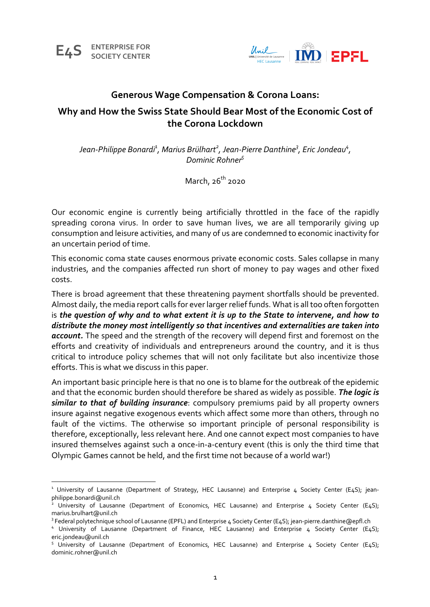

# **Generous Wage Compensation & Corona Loans:**

# **Why and How the Swiss State Should Bear Most of the Economic Cost of the Corona Lockdown**

Jean-Philippe Bonardi<sup>1</sup>, Marius Brülhart<sup>2</sup>, Jean-Pierre Danthine<sup>3</sup>, Eric Jondeau<sup>4</sup>, *Dominic Rohner5*

March,  $26<sup>th</sup>$  2020

Our economic engine is currently being artificially throttled in the face of the rapidly spreading corona virus. In order to save human lives, we are all temporarily giving up consumption and leisure activities, and many of us are condemned to economic inactivity for an uncertain period of time.

This economic coma state causes enormous private economic costs. Sales collapse in many industries, and the companies affected run short of money to pay wages and other fixed costs.

There is broad agreement that these threatening payment shortfalls should be prevented. Almost daily, the media report calls for ever larger relief funds. What is all too often forgotten is *the question of why and to what extent it is up to the State to intervene, and how to distribute the money most intelligently so that incentives and externalities are taken into account.* The speed and the strength of the recovery will depend first and foremost on the efforts and creativity of individuals and entrepreneurs around the country, and it is thus critical to introduce policy schemes that will not only facilitate but also incentivize those efforts. This is what we discuss in this paper.

An important basic principle here is that no one is to blame for the outbreak of the epidemic and that the economic burden should therefore be shared as widely as possible. *The logic is similar to that of building insurance*: compulsory premiums paid by all property owners insure against negative exogenous events which affect some more than others, through no fault of the victims. The otherwise so important principle of personal responsibility is therefore, exceptionally, less relevant here. And one cannot expect most companies to have insured themselves against such a once-in-a-century event (this is only the third time that Olympic Games cannot be held, and the first time not because of a world war!)

<sup>&</sup>lt;sup>1</sup> University of Lausanne (Department of Strategy, HEC Lausanne) and Enterprise 4 Society Center (E4S); jeanphilippe.bonardi@unil.ch

<sup>&</sup>lt;sup>2</sup> University of Lausanne (Department of Economics, HEC Lausanne) and Enterprise 4 Society Center (E4S);

marius.brulhart@unil.ch<br><sup>3</sup> Federal polytechnique school of Lausanne (EPFL) and Enterprise 4 Society Center (E4S); jean-pierre.danthine@epfl.ch

<sup>&</sup>lt;sup>4</sup> University of Lausanne (Department of Finance, HEC Lausanne) and Enterprise 4 Society Center (E4S); eric.jondeau@unil.ch

<sup>&</sup>lt;sup>5</sup> University of Lausanne (Department of Economics, HEC Lausanne) and Enterprise 4 Society Center (E4S); dominic.rohner@unil.ch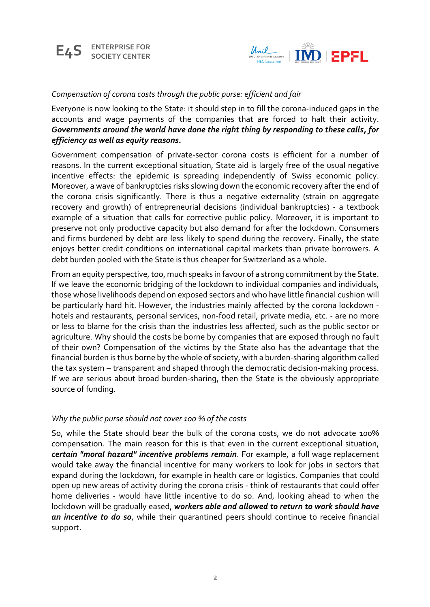



# *Compensation of corona costs through the public purse: efficient and fair*

Everyone is now looking to the State: it should step in to fill the corona-induced gaps in the accounts and wage payments of the companies that are forced to halt their activity. *Governments around the world have done the right thing by responding to these calls, for efficiency as well as equity reasons.*

Government compensation of private-sector corona costs is efficient for a number of reasons. In the current exceptional situation, State aid is largely free of the usual negative incentive effects: the epidemic is spreading independently of Swiss economic policy. Moreover, a wave of bankruptcies risks slowing down the economic recovery after the end of the corona crisis significantly. There is thus a negative externality (strain on aggregate recovery and growth) of entrepreneurial decisions (individual bankruptcies) - a textbook example of a situation that calls for corrective public policy. Moreover, it is important to preserve not only productive capacity but also demand for after the lockdown. Consumers and firms burdened by debt are less likely to spend during the recovery. Finally, the state enjoys better credit conditions on international capital markets than private borrowers. A debt burden pooled with the State is thus cheaper for Switzerland as a whole.

From an equity perspective, too, much speaks in favour of a strong commitment by the State. If we leave the economic bridging of the lockdown to individual companies and individuals, those whose livelihoods depend on exposed sectors and who have little financial cushion will be particularly hard hit. However, the industries mainly affected by the corona lockdown hotels and restaurants, personal services, non-food retail, private media, etc. - are no more or less to blame for the crisis than the industries less affected, such as the public sector or agriculture. Why should the costs be borne by companies that are exposed through no fault of their own? Compensation of the victims by the State also has the advantage that the financial burden is thus borne by the whole of society, with a burden-sharing algorithm called the tax system – transparent and shaped through the democratic decision-making process. If we are serious about broad burden-sharing, then the State is the obviously appropriate source of funding.

## *Why the public purse should not cover 100 % of the costs*

So, while the State should bear the bulk of the corona costs, we do not advocate 100% compensation. The main reason for this is that even in the current exceptional situation, *certain "moral hazard" incentive problems remain*. For example, a full wage replacement would take away the financial incentive for many workers to look for jobs in sectors that expand during the lockdown, for example in health care or logistics. Companies that could open up new areas of activity during the corona crisis - think of restaurants that could offer home deliveries - would have little incentive to do so. And, looking ahead to when the lockdown will be gradually eased, *workers able and allowed to return to work should have an incentive to do so*, while their quarantined peers should continue to receive financial support.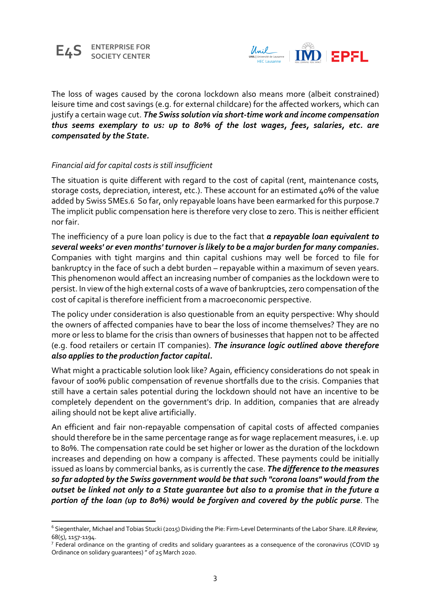



The loss of wages caused by the corona lockdown also means more (albeit constrained) leisure time and cost savings (e.g. for external childcare) for the affected workers, which can justify a certain wage cut. *The Swiss solution via short-time work and income compensation thus seems exemplary to us: up to 80% of the lost wages, fees, salaries, etc. are compensated by the State.*

# *Financial aid for capital costs is still insufficient*

The situation is quite different with regard to the cost of capital (rent, maintenance costs, storage costs, depreciation, interest, etc.). These account for an estimated 40% of the value added by Swiss SMEs.6 So far, only repayable loans have been earmarked for this purpose.7 The implicit public compensation here is therefore very close to zero. This is neither efficient nor fair.

The inefficiency of a pure loan policy is due to the fact that *a repayable loan equivalent to several weeks' or even months' turnover is likely to be a major burden for many companies.* Companies with tight margins and thin capital cushions may well be forced to file for bankruptcy in the face of such a debt burden – repayable within a maximum of seven years. This phenomenon would affect an increasing number of companies as the lockdown were to persist. In view of the high external costs of a wave of bankruptcies, zero compensation of the cost of capital is therefore inefficient from a macroeconomic perspective.

The policy under consideration is also questionable from an equity perspective: Why should the owners of affected companies have to bear the loss of income themselves? They are no more or less to blame for the crisis than owners of businesses that happen not to be affected (e.g. food retailers or certain IT companies). *The insurance logic outlined above therefore also applies to the production factor capital.*

What might a practicable solution look like? Again, efficiency considerations do not speak in favour of 100% public compensation of revenue shortfalls due to the crisis. Companies that still have a certain sales potential during the lockdown should not have an incentive to be completely dependent on the government's drip. In addition, companies that are already ailing should not be kept alive artificially.

An efficient and fair non-repayable compensation of capital costs of affected companies should therefore be in the same percentage range as for wage replacement measures, i.e. up to 80%. The compensation rate could be set higher or lower as the duration of the lockdown increases and depending on how a company is affected. These payments could be initially issued as loans by commercial banks, as is currently the case. *The difference to the measures so far adopted by the Swiss government would be that such "corona loans" would from the outset be linked not only to a State guarantee but also to a promise that in the future a portion of the loan (up to 80%) would be forgiven and covered by the public purse*. The

<sup>6</sup> Siegenthaler, Michael and Tobias Stucki (2015) Dividing the Pie: Firm-Level Determinants of the Labor Share. *ILR Review*,

 $68(5)$ , 1157-1194.<br><sup>7</sup> Federal ordinance on the granting of credits and solidary guarantees as a consequence of the coronavirus (COVID 19 Ordinance on solidary guarantees) " of 25 March 2020.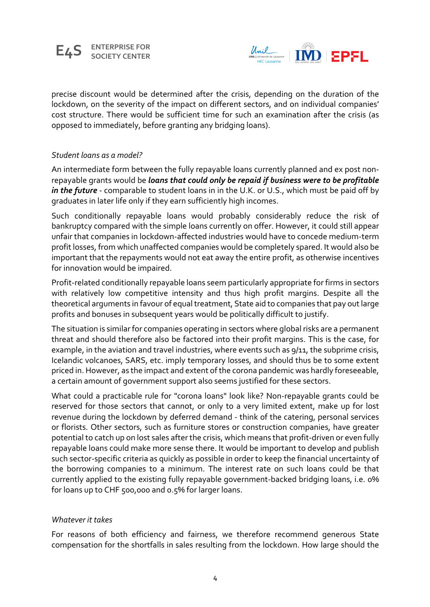#### **E4S ENTERPRISE FOR SOCIETY CENTER**



precise discount would be determined after the crisis, depending on the duration of the lockdown, on the severity of the impact on different sectors, and on individual companies' cost structure. There would be sufficient time for such an examination after the crisis (as opposed to immediately, before granting any bridging loans).

## *Student loans as a model?*

An intermediate form between the fully repayable loans currently planned and ex post nonrepayable grants would be *loans that could only be repaid if business were to be profitable in the future* - comparable to student loans in in the U.K. or U.S., which must be paid off by graduates in later life only if they earn sufficiently high incomes.

Such conditionally repayable loans would probably considerably reduce the risk of bankruptcy compared with the simple loans currently on offer. However, it could still appear unfair that companies in lockdown-affected industries would have to concede medium-term profit losses, from which unaffected companies would be completely spared. It would also be important that the repayments would not eat away the entire profit, as otherwise incentives for innovation would be impaired.

Profit-related conditionally repayable loans seem particularly appropriate for firms in sectors with relatively low competitive intensity and thus high profit margins. Despite all the theoretical arguments in favour of equal treatment, State aid to companies that pay out large profits and bonuses in subsequent years would be politically difficult to justify.

The situation is similar for companies operating in sectors where global risks are a permanent threat and should therefore also be factored into their profit margins. This is the case, for example, in the aviation and travel industries, where events such as 9/11, the subprime crisis, Icelandic volcanoes, SARS, etc. imply temporary losses, and should thus be to some extent priced in. However, as the impact and extent of the corona pandemic was hardly foreseeable, a certain amount of government support also seems justified for these sectors.

What could a practicable rule for "corona loans" look like? Non-repayable grants could be reserved for those sectors that cannot, or only to a very limited extent, make up for lost revenue during the lockdown by deferred demand - think of the catering, personal services or florists. Other sectors, such as furniture stores or construction companies, have greater potential to catch up on lost sales after the crisis, which means that profit-driven or even fully repayable loans could make more sense there. It would be important to develop and publish such sector-specific criteria as quickly as possible in order to keep the financial uncertainty of the borrowing companies to a minimum. The interest rate on such loans could be that currently applied to the existing fully repayable government-backed bridging loans, i.e. 0% for loans up to CHF 500,000 and 0.5% for larger loans.

## *Whatever it takes*

For reasons of both efficiency and fairness, we therefore recommend generous State compensation for the shortfalls in sales resulting from the lockdown. How large should the